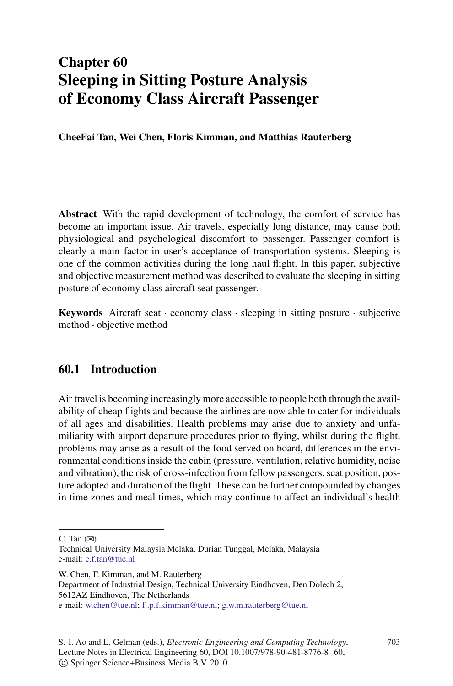# **Chapter 60 Sleeping in Sitting Posture Analysis of Economy Class Aircraft Passenger**

**CheeFai Tan, Wei Chen, Floris Kimman, and Matthias Rauterberg**

**Abstract** With the rapid development of technology, the comfort of service has become an important issue. Air travels, especially long distance, may cause both physiological and psychological discomfort to passenger. Passenger comfort is clearly a main factor in user's acceptance of transportation systems. Sleeping is one of the common activities during the long haul flight. In this paper, subjective and objective measurement method was described to evaluate the sleeping in sitting posture of economy class aircraft seat passenger.

**Keywords** Aircraft seat  $\cdot$  economy class  $\cdot$  sleeping in sitting posture  $\cdot$  subjective method  $\cdot$  objective method method - objective method

#### **60.1 Introduction**

Air travel is becoming increasingly more accessible to people both through the availability of cheap flights and because the airlines are now able to cater for individuals of all ages and disabilities. Health problems may arise due to anxiety and unfamiliarity with airport departure procedures prior to flying, whilst during the flight, problems may arise as a result of the food served on board, differences in the environmental conditions inside the cabin (pressure, ventilation, relative humidity, noise and vibration), the risk of cross-infection from fellow passengers, seat position, posture adopted and duration of the flight. These can be further compounded by changes in time zones and meal times, which may continue to affect an individual's health

C. Tan  $(\boxtimes)$ 

Technical University Malaysia Melaka, Durian Tunggal, Melaka, Malaysia e-mail: <c.f.tan@tue.nl>

W. Chen, F. Kimman, and M. Rauterberg

Department of Industrial Design, Technical University Eindhoven, Den Dolech 2, 5612AZ Eindhoven, The Netherlands

e-mail: [w.chen@tue.nl;](w.chen@tue.nl) [f..p.f.kimman@tue.nl;](f..p.f.kimman@tue.nl) <g.w.m.rauterberg@tue.nl>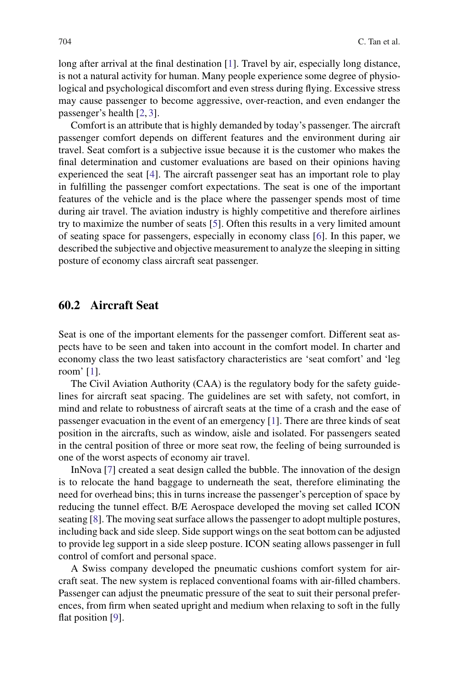long after arrival at the final destination [\[1](#page-9-0)]. Travel by air, especially long distance, is not a natural activity for human. Many people experience some degree of physiological and psychological discomfort and even stress during flying. Excessive stress may cause passenger to become aggressive, over-reaction, and even endanger the passenger's health [\[2](#page-9-1), [3](#page-9-2)].

Comfort is an attribute that is highly demanded by today's passenger. The aircraft passenger comfort depends on different features and the environment during air travel. Seat comfort is a subjective issue because it is the customer who makes the final determination and customer evaluations are based on their opinions having experienced the seat [\[4](#page-9-3)]. The aircraft passenger seat has an important role to play in fulfilling the passenger comfort expectations. The seat is one of the important features of the vehicle and is the place where the passenger spends most of time during air travel. The aviation industry is highly competitive and therefore airlines try to maximize the number of seats [\[5](#page-9-4)]. Often this results in a very limited amount of seating space for passengers, especially in economy class [\[6\]](#page-9-5). In this paper, we described the subjective and objective measurement to analyze the sleeping in sitting posture of economy class aircraft seat passenger.

#### **60.2 Aircraft Seat**

Seat is one of the important elements for the passenger comfort. Different seat aspects have to be seen and taken into account in the comfort model. In charter and economy class the two least satisfactory characteristics are 'seat comfort' and 'leg room' [\[1\]](#page-9-0).

The Civil Aviation Authority (CAA) is the regulatory body for the safety guidelines for aircraft seat spacing. The guidelines are set with safety, not comfort, in mind and relate to robustness of aircraft seats at the time of a crash and the ease of passenger evacuation in the event of an emergency [\[1\]](#page-9-0). There are three kinds of seat position in the aircrafts, such as window, aisle and isolated. For passengers seated in the central position of three or more seat row, the feeling of being surrounded is one of the worst aspects of economy air travel.

InNova [\[7](#page-9-6)] created a seat design called the bubble. The innovation of the design is to relocate the hand baggage to underneath the seat, therefore eliminating the need for overhead bins; this in turns increase the passenger's perception of space by reducing the tunnel effect. B/E Aerospace developed the moving set called ICON seating [\[8](#page-10-0)]. The moving seat surface allows the passenger to adopt multiple postures, including back and side sleep. Side support wings on the seat bottom can be adjusted to provide leg support in a side sleep posture. ICON seating allows passenger in full control of comfort and personal space.

A Swiss company developed the pneumatic cushions comfort system for aircraft seat. The new system is replaced conventional foams with air-filled chambers. Passenger can adjust the pneumatic pressure of the seat to suit their personal preferences, from firm when seated upright and medium when relaxing to soft in the fully flat position [\[9\]](#page-10-1).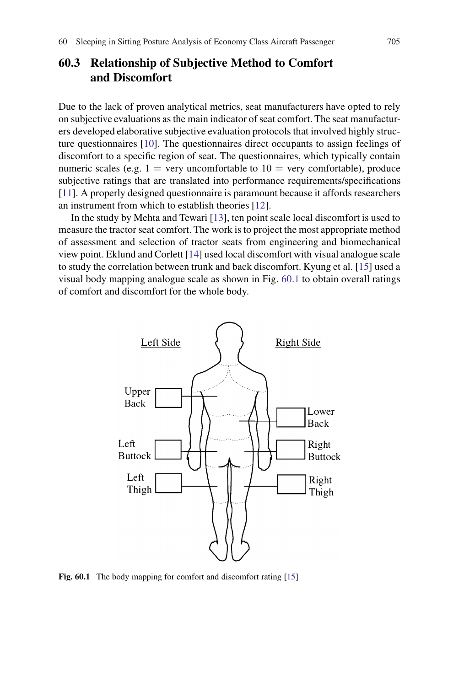### **60.3 Relationship of Subjective Method to Comfort and Discomfort**

Due to the lack of proven analytical metrics, seat manufacturers have opted to rely on subjective evaluations as the main indicator of seat comfort. The seat manufacturers developed elaborative subjective evaluation protocols that involved highly structure questionnaires [\[10\]](#page-10-2). The questionnaires direct occupants to assign feelings of discomfort to a specific region of seat. The questionnaires, which typically contain numeric scales (e.g.  $1 = \text{very uncomforth}$  to  $10 = \text{very comfortable}$ ), produce subjective ratings that are translated into performance requirements/specifications [\[11](#page-10-3)]. A properly designed questionnaire is paramount because it affords researchers an instrument from which to establish theories [\[12\]](#page-10-4).

In the study by Mehta and Tewari [\[13\]](#page-10-5), ten point scale local discomfort is used to measure the tractor seat comfort. The work is to project the most appropriate method of assessment and selection of tractor seats from engineering and biomechanical view point. Eklund and Corlett [\[14](#page-10-6)] used local discomfort with visual analogue scale to study the correlation between trunk and back discomfort. Kyung et al. [\[15](#page-10-7)] used a visual body mapping analogue scale as shown in Fig. [60.1](#page-2-0) to obtain overall ratings of comfort and discomfort for the whole body.



<span id="page-2-0"></span>**Fig. 60.1** The body mapping for comfort and discomfort rating [\[15\]](#page-10-7)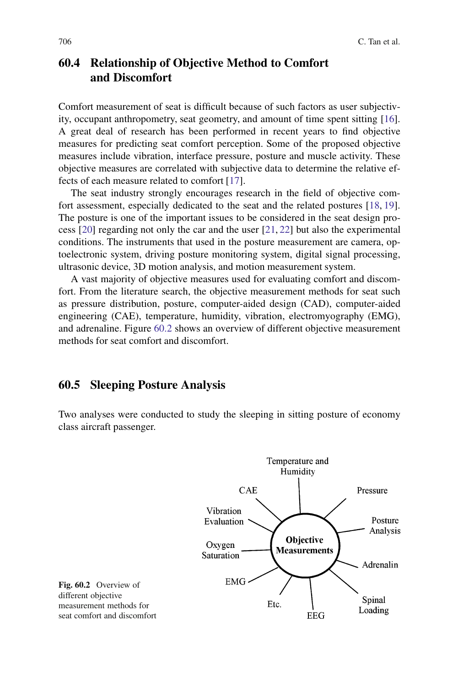## **60.4 Relationship of Objective Method to Comfort and Discomfort**

Comfort measurement of seat is difficult because of such factors as user subjectivity, occupant anthropometry, seat geometry, and amount of time spent sitting [\[16\]](#page-10-8). A great deal of research has been performed in recent years to find objective measures for predicting seat comfort perception. Some of the proposed objective measures include vibration, interface pressure, posture and muscle activity. These objective measures are correlated with subjective data to determine the relative effects of each measure related to comfort [\[17\]](#page-10-9).

The seat industry strongly encourages research in the field of objective comfort assessment, especially dedicated to the seat and the related postures [\[18](#page-10-10), [19\]](#page-10-11). The posture is one of the important issues to be considered in the seat design process [\[20\]](#page-10-12) regarding not only the car and the user [\[21,](#page-10-13) [22](#page-10-14)] but also the experimental conditions. The instruments that used in the posture measurement are camera, optoelectronic system, driving posture monitoring system, digital signal processing, ultrasonic device, 3D motion analysis, and motion measurement system.

A vast majority of objective measures used for evaluating comfort and discomfort. From the literature search, the objective measurement methods for seat such as pressure distribution, posture, computer-aided design (CAD), computer-aided engineering (CAE), temperature, humidity, vibration, electromyography (EMG), and adrenaline. Figure [60.2](#page-3-0) shows an overview of different objective measurement methods for seat comfort and discomfort.

#### **60.5 Sleeping Posture Analysis**

<span id="page-3-0"></span>Two analyses were conducted to study the sleeping in sitting posture of economy class aircraft passenger.



**Fig. 60.2** Overview of different objective measurement methods for seat comfort and discomfort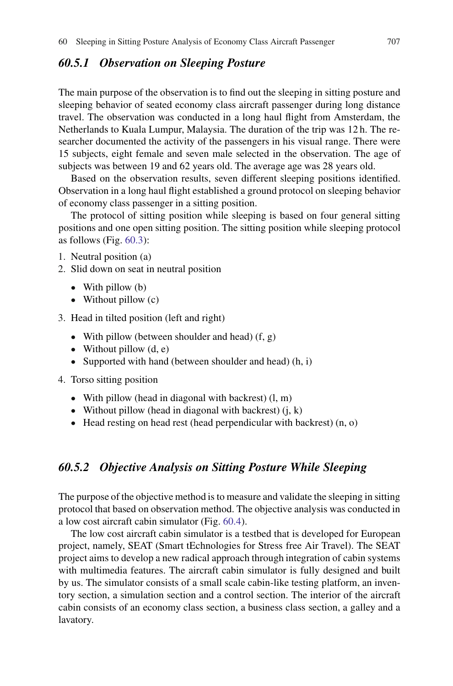#### *60.5.1 Observation on Sleeping Posture*

The main purpose of the observation is to find out the sleeping in sitting posture and sleeping behavior of seated economy class aircraft passenger during long distance travel. The observation was conducted in a long haul flight from Amsterdam, the Netherlands to Kuala Lumpur, Malaysia. The duration of the trip was 12 h. The researcher documented the activity of the passengers in his visual range. There were 15 subjects, eight female and seven male selected in the observation. The age of subjects was between 19 and 62 years old. The average age was 28 years old.

Based on the observation results, seven different sleeping positions identified. Observation in a long haul flight established a ground protocol on sleeping behavior of economy class passenger in a sitting position.

The protocol of sitting position while sleeping is based on four general sitting positions and one open sitting position. The sitting position while sleeping protocol as follows (Fig.  $60.3$ ):

- 1. Neutral position (a)
- 2. Slid down on seat in neutral position
	- With pillow (b)
	- Without pillow (c)

3. Head in tilted position (left and right)

- With pillow (between shoulder and head)  $(f, g)$
- $\bullet$  Without pillow  $(d, e)$
- Supported with hand (between shoulder and head)  $(h, i)$
- 4. Torso sitting position
	- With pillow (head in diagonal with backrest)  $(l, m)$
	- Without pillow (head in diagonal with backrest)  $(i, k)$
	- $\bullet$  Head resting on head rest (head perpendicular with backrest) (n, o)

## *60.5.2 Objective Analysis on Sitting Posture While Sleeping*

The purpose of the objective method is to measure and validate the sleeping in sitting protocol that based on observation method. The objective analysis was conducted in a low cost aircraft cabin simulator (Fig. [60.4\)](#page-6-0).

The low cost aircraft cabin simulator is a testbed that is developed for European project, namely, SEAT (Smart tEchnologies for Stress free Air Travel). The SEAT project aims to develop a new radical approach through integration of cabin systems with multimedia features. The aircraft cabin simulator is fully designed and built by us. The simulator consists of a small scale cabin-like testing platform, an inventory section, a simulation section and a control section. The interior of the aircraft cabin consists of an economy class section, a business class section, a galley and a lavatory.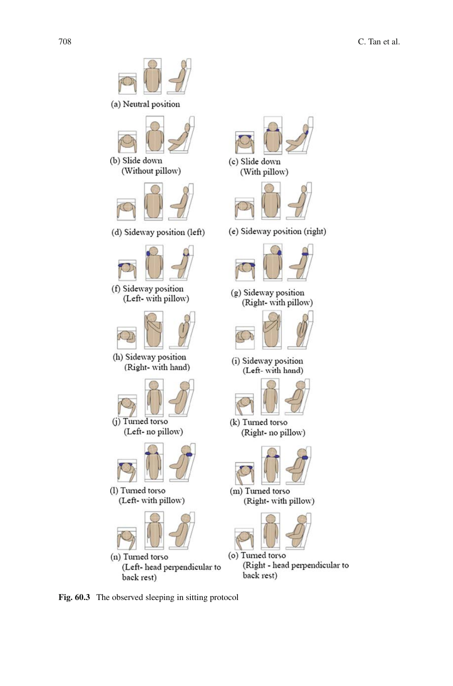

(c) Slide down (With pillow)



(e) Sideway position (right)



(g) Sideway position (Right-with pillow)



(i) Sideway position (Left- with hand)



(k) Turned torso (Right- no pillow)



(m) Turned torso (Right-with pillow)



(o) Turned torso (Right - head perpendicular to back rest)

<span id="page-5-0"></span>**Fig. 60.3** The observed sleeping in sitting protocol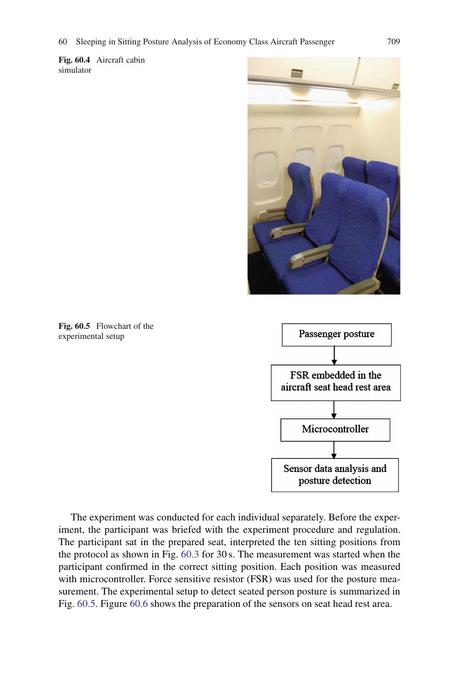<span id="page-6-0"></span>**Fig. 60.4** Aircraft cabin simulator



<span id="page-6-1"></span>**Fig. 60.5** Flowchart of the experimental setup



The experiment was conducted for each individual separately. Before the experiment, the participant was briefed with the experiment procedure and regulation. The participant sat in the prepared seat, interpreted the ten sitting positions from the protocol as shown in Fig. [60.3](#page-5-0) for 30 s. The measurement was started when the participant confirmed in the correct sitting position. Each position was measured with microcontroller. Force sensitive resistor (FSR) was used for the posture measurement. The experimental setup to detect seated person posture is summarized in Fig. [60.5.](#page-6-1) Figure [60.6](#page-7-0) shows the preparation of the sensors on seat head rest area.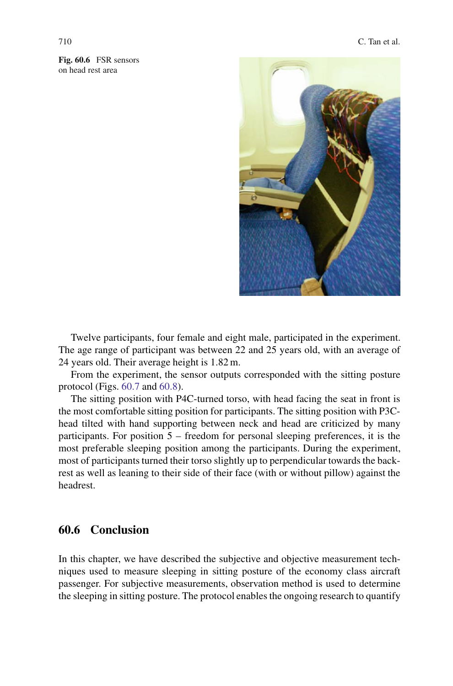<span id="page-7-0"></span>**Fig. 60.6** FSR sensors on head rest area



Twelve participants, four female and eight male, participated in the experiment. The age range of participant was between 22 and 25 years old, with an average of 24 years old. Their average height is 1.82 m.

From the experiment, the sensor outputs corresponded with the sitting posture protocol (Figs. [60.7](#page-8-0) and [60.8\)](#page-9-7).

The sitting position with P4C-turned torso, with head facing the seat in front is the most comfortable sitting position for participants. The sitting position with P3Chead tilted with hand supporting between neck and head are criticized by many participants. For position 5 – freedom for personal sleeping preferences, it is the most preferable sleeping position among the participants. During the experiment, most of participants turned their torso slightly up to perpendicular towards the backrest as well as leaning to their side of their face (with or without pillow) against the headrest.

#### **60.6 Conclusion**

In this chapter, we have described the subjective and objective measurement techniques used to measure sleeping in sitting posture of the economy class aircraft passenger. For subjective measurements, observation method is used to determine the sleeping in sitting posture. The protocol enables the ongoing research to quantify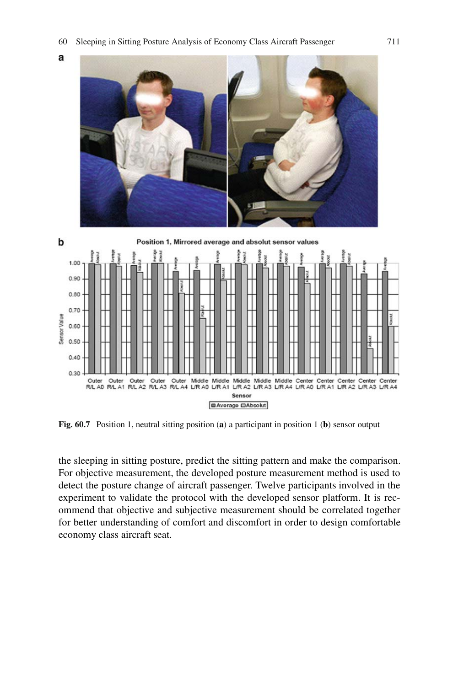a





<span id="page-8-0"></span>**Fig. 60.7** Position 1, neutral sitting position (**a**) a participant in position 1 (**b**) sensor output

the sleeping in sitting posture, predict the sitting pattern and make the comparison. For objective measurement, the developed posture measurement method is used to detect the posture change of aircraft passenger. Twelve participants involved in the experiment to validate the protocol with the developed sensor platform. It is recommend that objective and subjective measurement should be correlated together for better understanding of comfort and discomfort in order to design comfortable economy class aircraft seat.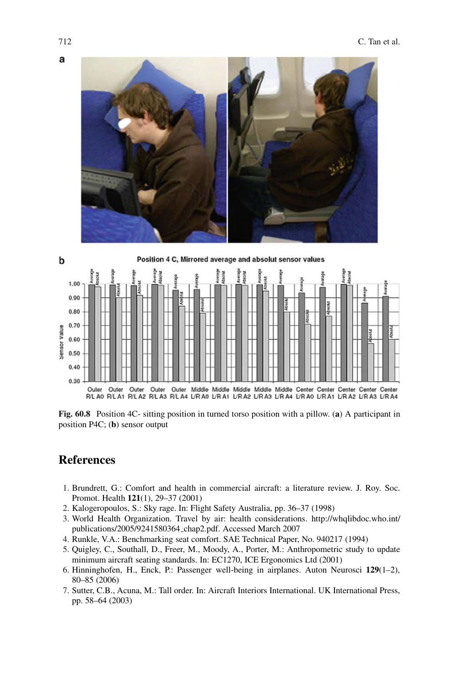



<span id="page-9-7"></span>**Fig. 60.8** Position 4C- sitting position in turned torso position with a pillow. (**a**) A participant in position P4C; (**b**) sensor output

#### **References**

- <span id="page-9-0"></span>1. Brundrett, G.: Comfort and health in commercial aircraft: a literature review. J. Roy. Soc. Promot. Health **121**(1), 29–37 (2001)
- <span id="page-9-1"></span>2. Kalogeropoulos, S.: Sky rage. In: Flight Safety Australia, pp. 36–37 (1998)
- <span id="page-9-2"></span>3. World Health Organization. Travel by air: health considerations. http://whqlibdoc.who.int/ publications/2005/9241580364 chap2.pdf. Accessed March 2007
- <span id="page-9-3"></span>4. Runkle, V.A.: Benchmarking seat comfort. SAE Technical Paper, No. 940217 (1994)
- <span id="page-9-4"></span>5. Quigley, C., Southall, D., Freer, M., Moody, A., Porter, M.: Anthropometric study to update minimum aircraft seating standards. In: EC1270, ICE Ergonomics Ltd (2001)
- <span id="page-9-5"></span>6. Hinninghofen, H., Enck, P.: Passenger well-being in airplanes. Auton Neurosci **129**(1–2), 80–85 (2006)
- <span id="page-9-6"></span>7. Sutter, C.B., Acuna, M.: Tall order. In: Aircraft Interiors International. UK International Press, pp. 58–64 (2003)

b